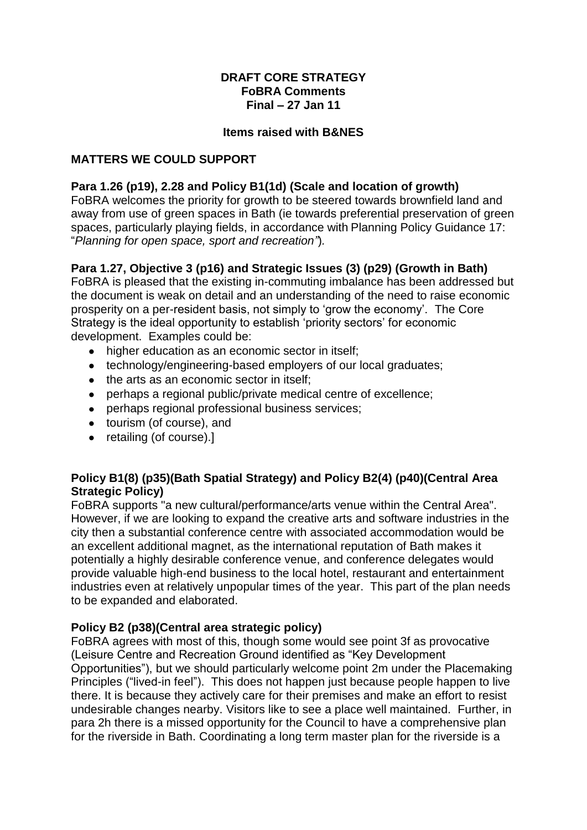#### **DRAFT CORE STRATEGY FoBRA Comments Final – 27 Jan 11**

#### **Items raised with B&NES**

#### **MATTERS WE COULD SUPPORT**

#### **Para 1.26 (p19), 2.28 and Policy B1(1d) (Scale and location of growth)**

FoBRA welcomes the priority for growth to be steered towards brownfield land and away from use of green spaces in Bath (ie towards preferential preservation of green spaces, particularly playing fields, in accordance with Planning Policy Guidance 17: "*Planning for open space, sport and recreation"*)*.*

### **Para 1.27, Objective 3 (p16) and Strategic Issues (3) (p29) (Growth in Bath)**

FoBRA is pleased that the existing in-commuting imbalance has been addressed but the document is weak on detail and an understanding of the need to raise economic prosperity on a per-resident basis, not simply to "grow the economy". The Core Strategy is the ideal opportunity to establish "priority sectors" for economic development. Examples could be:

- higher education as an economic sector in itself;
- technology/engineering-based employers of our local graduates;
- the arts as an economic sector in itself;
- perhaps a regional public/private medical centre of excellence;
- perhaps regional professional business services;
- tourism (of course), and
- retailing (of course).]

### **Policy B1(8) (p35)(Bath Spatial Strategy) and Policy B2(4) (p40)(Central Area Strategic Policy)**

FoBRA supports "a new cultural/performance/arts venue within the Central Area". However, if we are looking to expand the creative arts and software industries in the city then a substantial conference centre with associated accommodation would be an excellent additional magnet, as the international reputation of Bath makes it potentially a highly desirable conference venue, and conference delegates would provide valuable high-end business to the local hotel, restaurant and entertainment industries even at relatively unpopular times of the year. This part of the plan needs to be expanded and elaborated.

#### **Policy B2 (p38)(Central area strategic policy)**

FoBRA agrees with most of this, though some would see point 3f as provocative (Leisure Centre and Recreation Ground identified as "Key Development Opportunities"), but we should particularly welcome point 2m under the Placemaking Principles ("lived-in feel"). This does not happen just because people happen to live there. It is because they actively care for their premises and make an effort to resist undesirable changes nearby. Visitors like to see a place well maintained. Further, in para 2h there is a missed opportunity for the Council to have a comprehensive plan for the riverside in Bath. Coordinating a long term master plan for the riverside is a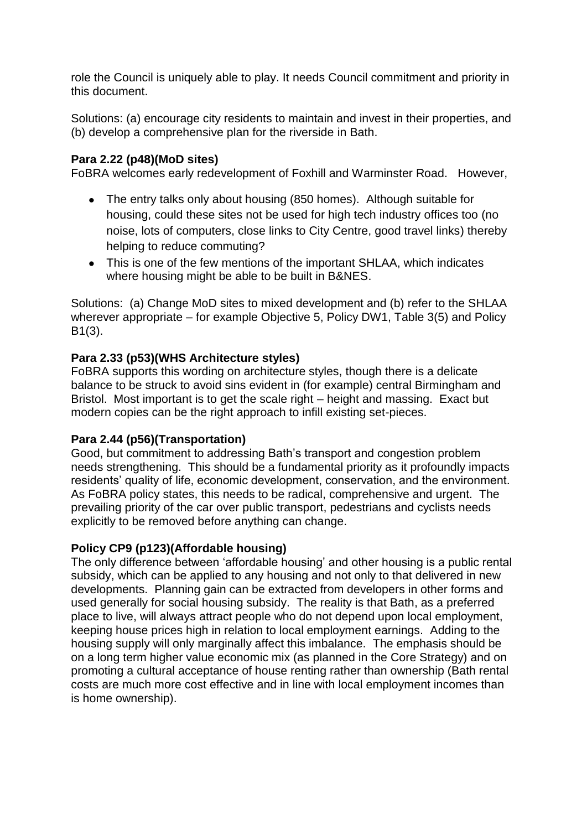role the Council is uniquely able to play. It needs Council commitment and priority in this document.

Solutions: (a) encourage city residents to maintain and invest in their properties, and (b) develop a comprehensive plan for the riverside in Bath.

# **Para 2.22 (p48)(MoD sites)**

FoBRA welcomes early redevelopment of Foxhill and Warminster Road. However,

- The entry talks only about housing (850 homes). Although suitable for housing, could these sites not be used for high tech industry offices too (no noise, lots of computers, close links to City Centre, good travel links) thereby helping to reduce commuting?
- This is one of the few mentions of the important SHLAA, which indicates where housing might be able to be built in B&NES.

Solutions: (a) Change MoD sites to mixed development and (b) refer to the SHLAA wherever appropriate – for example Objective 5, Policy DW1, Table 3(5) and Policy B1(3).

# **Para 2.33 (p53)(WHS Architecture styles)**

FoBRA supports this wording on architecture styles, though there is a delicate balance to be struck to avoid sins evident in (for example) central Birmingham and Bristol. Most important is to get the scale right – height and massing. Exact but modern copies can be the right approach to infill existing set-pieces.

# **Para 2.44 (p56)(Transportation)**

Good, but commitment to addressing Bath"s transport and congestion problem needs strengthening. This should be a fundamental priority as it profoundly impacts residents" quality of life, economic development, conservation, and the environment. As FoBRA policy states, this needs to be radical, comprehensive and urgent. The prevailing priority of the car over public transport, pedestrians and cyclists needs explicitly to be removed before anything can change.

# **Policy CP9 (p123)(Affordable housing)**

The only difference between "affordable housing" and other housing is a public rental subsidy, which can be applied to any housing and not only to that delivered in new developments. Planning gain can be extracted from developers in other forms and used generally for social housing subsidy. The reality is that Bath, as a preferred place to live, will always attract people who do not depend upon local employment, keeping house prices high in relation to local employment earnings. Adding to the housing supply will only marginally affect this imbalance. The emphasis should be on a long term higher value economic mix (as planned in the Core Strategy) and on promoting a cultural acceptance of house renting rather than ownership (Bath rental costs are much more cost effective and in line with local employment incomes than is home ownership).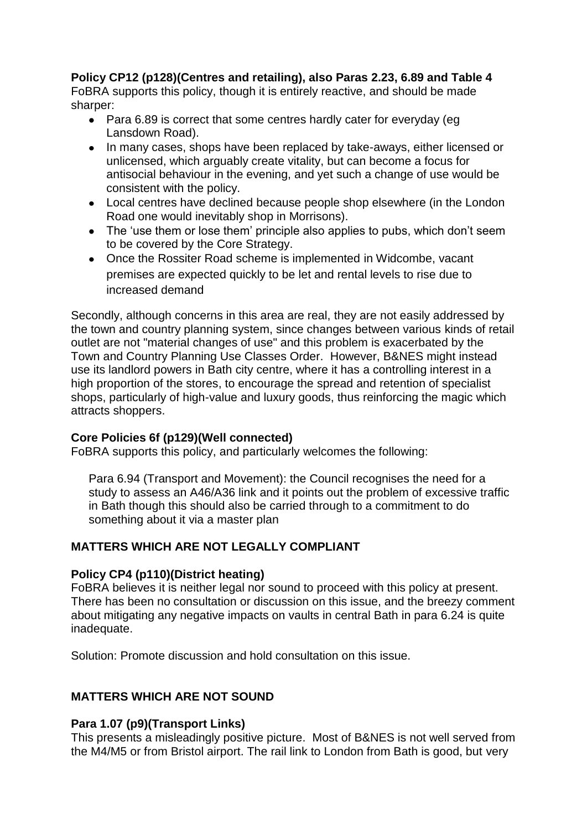### **Policy CP12 (p128)(Centres and retailing), also Paras 2.23, 6.89 and Table 4**

FoBRA supports this policy, though it is entirely reactive, and should be made sharper:

- Para 6.89 is correct that some centres hardly cater for everyday (eq Lansdown Road).
- In many cases, shops have been replaced by take-aways, either licensed or unlicensed, which arguably create vitality, but can become a focus for antisocial behaviour in the evening, and yet such a change of use would be consistent with the policy.
- Local centres have declined because people shop elsewhere (in the London Road one would inevitably shop in Morrisons).
- The 'use them or lose them' principle also applies to pubs, which don't seem to be covered by the Core Strategy.
- Once the Rossiter Road scheme is implemented in Widcombe, vacant premises are expected quickly to be let and rental levels to rise due to increased demand

Secondly, although concerns in this area are real, they are not easily addressed by the town and country planning system, since changes between various kinds of retail outlet are not "material changes of use" and this problem is exacerbated by the Town and Country Planning Use Classes Order. However, B&NES might instead use its landlord powers in Bath city centre, where it has a controlling interest in a high proportion of the stores, to encourage the spread and retention of specialist shops, particularly of high-value and luxury goods, thus reinforcing the magic which attracts shoppers.

#### **Core Policies 6f (p129)(Well connected)**

FoBRA supports this policy, and particularly welcomes the following:

Para 6.94 (Transport and Movement): the Council recognises the need for a study to assess an A46/A36 link and it points out the problem of excessive traffic in Bath though this should also be carried through to a commitment to do something about it via a master plan

# **MATTERS WHICH ARE NOT LEGALLY COMPLIANT**

#### **Policy CP4 (p110)(District heating)**

FoBRA believes it is neither legal nor sound to proceed with this policy at present. There has been no consultation or discussion on this issue, and the breezy comment about mitigating any negative impacts on vaults in central Bath in para 6.24 is quite inadequate.

Solution: Promote discussion and hold consultation on this issue.

# **MATTERS WHICH ARE NOT SOUND**

# **Para 1.07 (p9)(Transport Links)**

This presents a misleadingly positive picture. Most of B&NES is not well served from the M4/M5 or from Bristol airport. The rail link to London from Bath is good, but very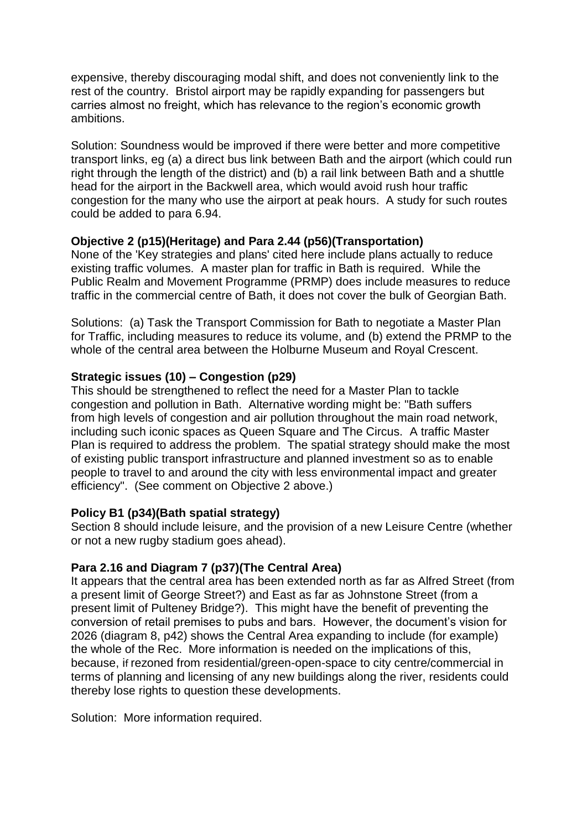expensive, thereby discouraging modal shift, and does not conveniently link to the rest of the country. Bristol airport may be rapidly expanding for passengers but carries almost no freight, which has relevance to the region"s economic growth ambitions.

Solution: Soundness would be improved if there were better and more competitive transport links, eg (a) a direct bus link between Bath and the airport (which could run right through the length of the district) and (b) a rail link between Bath and a shuttle head for the airport in the Backwell area, which would avoid rush hour traffic congestion for the many who use the airport at peak hours. A study for such routes could be added to para 6.94.

### **Objective 2 (p15)(Heritage) and Para 2.44 (p56)(Transportation)**

None of the 'Key strategies and plans' cited here include plans actually to reduce existing traffic volumes. A master plan for traffic in Bath is required. While the Public Realm and Movement Programme (PRMP) does include measures to reduce traffic in the commercial centre of Bath, it does not cover the bulk of Georgian Bath.

Solutions: (a) Task the Transport Commission for Bath to negotiate a Master Plan for Traffic, including measures to reduce its volume, and (b) extend the PRMP to the whole of the central area between the Holburne Museum and Royal Crescent.

### **Strategic issues (10) – Congestion (p29)**

This should be strengthened to reflect the need for a Master Plan to tackle congestion and pollution in Bath. Alternative wording might be: "Bath suffers from high levels of congestion and air pollution throughout the main road network, including such iconic spaces as Queen Square and The Circus. A traffic Master Plan is required to address the problem. The spatial strategy should make the most of existing public transport infrastructure and planned investment so as to enable people to travel to and around the city with less environmental impact and greater efficiency". (See comment on Objective 2 above.)

#### **Policy B1 (p34)(Bath spatial strategy)**

Section 8 should include leisure, and the provision of a new Leisure Centre (whether or not a new rugby stadium goes ahead).

# **Para 2.16 and Diagram 7 (p37)(The Central Area)**

It appears that the central area has been extended north as far as Alfred Street (from a present limit of George Street?) and East as far as Johnstone Street (from a present limit of Pulteney Bridge?). This might have the benefit of preventing the conversion of retail premises to pubs and bars. However, the document"s vision for 2026 (diagram 8, p42) shows the Central Area expanding to include (for example) the whole of the Rec. More information is needed on the implications of this, because, if rezoned from residential/green-open-space to city centre/commercial in terms of planning and licensing of any new buildings along the river, residents could thereby lose rights to question these developments.

Solution: More information required.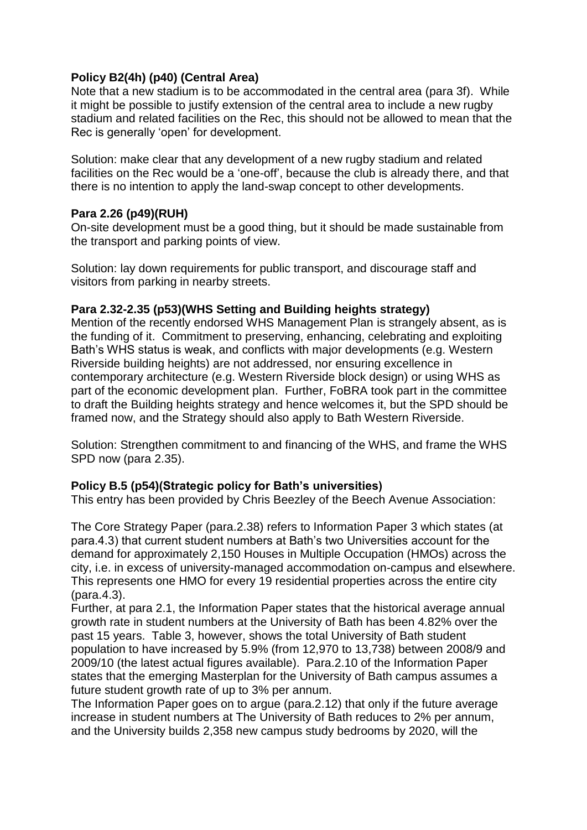### **Policy B2(4h) (p40) (Central Area)**

Note that a new stadium is to be accommodated in the central area (para 3f). While it might be possible to justify extension of the central area to include a new rugby stadium and related facilities on the Rec, this should not be allowed to mean that the Rec is generally "open" for development.

Solution: make clear that any development of a new rugby stadium and related facilities on the Rec would be a "one-off", because the club is already there, and that there is no intention to apply the land-swap concept to other developments.

### **Para 2.26 (p49)(RUH)**

On-site development must be a good thing, but it should be made sustainable from the transport and parking points of view.

Solution: lay down requirements for public transport, and discourage staff and visitors from parking in nearby streets.

### **Para 2.32-2.35 (p53)(WHS Setting and Building heights strategy)**

Mention of the recently endorsed WHS Management Plan is strangely absent, as is the funding of it. Commitment to preserving, enhancing, celebrating and exploiting Bath's WHS status is weak, and conflicts with major developments (e.g. Western Riverside building heights) are not addressed, nor ensuring excellence in contemporary architecture (e.g. Western Riverside block design) or using WHS as part of the economic development plan. Further, FoBRA took part in the committee to draft the Building heights strategy and hence welcomes it, but the SPD should be framed now, and the Strategy should also apply to Bath Western Riverside.

Solution: Strengthen commitment to and financing of the WHS, and frame the WHS SPD now (para 2.35).

#### **Policy B.5 (p54)(Strategic policy for Bath's universities)**

This entry has been provided by Chris Beezley of the Beech Avenue Association:

The Core Strategy Paper (para.2.38) refers to Information Paper 3 which states (at para.4.3) that current student numbers at Bath"s two Universities account for the demand for approximately 2,150 Houses in Multiple Occupation (HMOs) across the city, i.e. in excess of university-managed accommodation on-campus and elsewhere. This represents one HMO for every 19 residential properties across the entire city (para.4.3).

Further, at para 2.1, the Information Paper states that the historical average annual growth rate in student numbers at the University of Bath has been 4.82% over the past 15 years. Table 3, however, shows the total University of Bath student population to have increased by 5.9% (from 12,970 to 13,738) between 2008/9 and 2009/10 (the latest actual figures available). Para.2.10 of the Information Paper states that the emerging Masterplan for the University of Bath campus assumes a future student growth rate of up to 3% per annum.

The Information Paper goes on to argue (para.2.12) that only if the future average increase in student numbers at The University of Bath reduces to 2% per annum, and the University builds 2,358 new campus study bedrooms by 2020, will the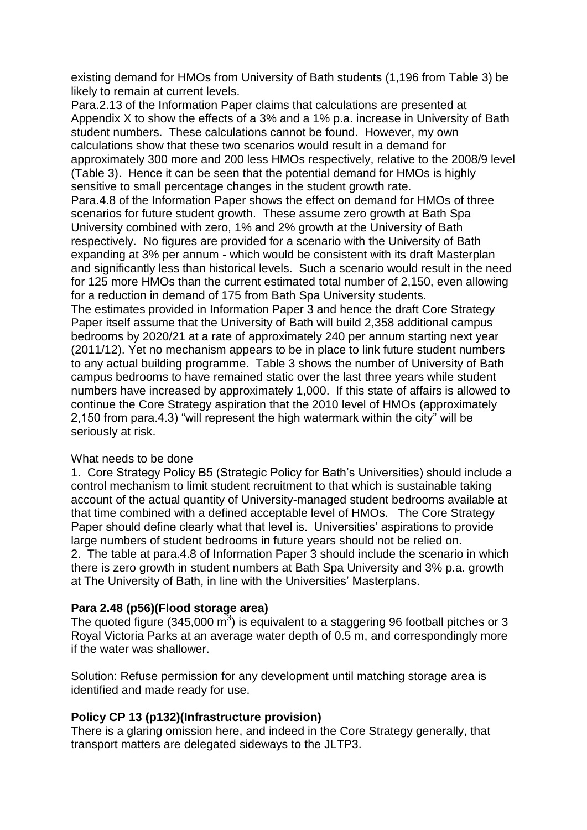existing demand for HMOs from University of Bath students (1,196 from Table 3) be likely to remain at current levels.

Para.2.13 of the Information Paper claims that calculations are presented at Appendix X to show the effects of a 3% and a 1% p.a. increase in University of Bath student numbers. These calculations cannot be found. However, my own calculations show that these two scenarios would result in a demand for approximately 300 more and 200 less HMOs respectively, relative to the 2008/9 level (Table 3). Hence it can be seen that the potential demand for HMOs is highly sensitive to small percentage changes in the student growth rate. Para.4.8 of the Information Paper shows the effect on demand for HMOs of three scenarios for future student growth. These assume zero growth at Bath Spa University combined with zero, 1% and 2% growth at the University of Bath respectively. No figures are provided for a scenario with the University of Bath expanding at 3% per annum - which would be consistent with its draft Masterplan and significantly less than historical levels. Such a scenario would result in the need for 125 more HMOs than the current estimated total number of 2,150, even allowing for a reduction in demand of 175 from Bath Spa University students. The estimates provided in Information Paper 3 and hence the draft Core Strategy

Paper itself assume that the University of Bath will build 2,358 additional campus bedrooms by 2020/21 at a rate of approximately 240 per annum starting next year (2011/12). Yet no mechanism appears to be in place to link future student numbers to any actual building programme. Table 3 shows the number of University of Bath campus bedrooms to have remained static over the last three years while student numbers have increased by approximately 1,000. If this state of affairs is allowed to continue the Core Strategy aspiration that the 2010 level of HMOs (approximately 2,150 from para.4.3) "will represent the high watermark within the city" will be seriously at risk.

#### What needs to be done

1. Core Strategy Policy B5 (Strategic Policy for Bath"s Universities) should include a control mechanism to limit student recruitment to that which is sustainable taking account of the actual quantity of University-managed student bedrooms available at that time combined with a defined acceptable level of HMOs. The Core Strategy Paper should define clearly what that level is. Universities' aspirations to provide large numbers of student bedrooms in future years should not be relied on. 2. The table at para.4.8 of Information Paper 3 should include the scenario in which there is zero growth in student numbers at Bath Spa University and 3% p.a. growth at The University of Bath, in line with the Universities" Masterplans.

# **Para 2.48 (p56)(Flood storage area)**

The quoted figure (345,000  $\overline{m}^3$ ) is equivalent to a staggering 96 football pitches or 3 Royal Victoria Parks at an average water depth of 0.5 m, and correspondingly more if the water was shallower.

Solution: Refuse permission for any development until matching storage area is identified and made ready for use.

# **Policy CP 13 (p132)(Infrastructure provision)**

There is a glaring omission here, and indeed in the Core Strategy generally, that transport matters are delegated sideways to the JLTP3.